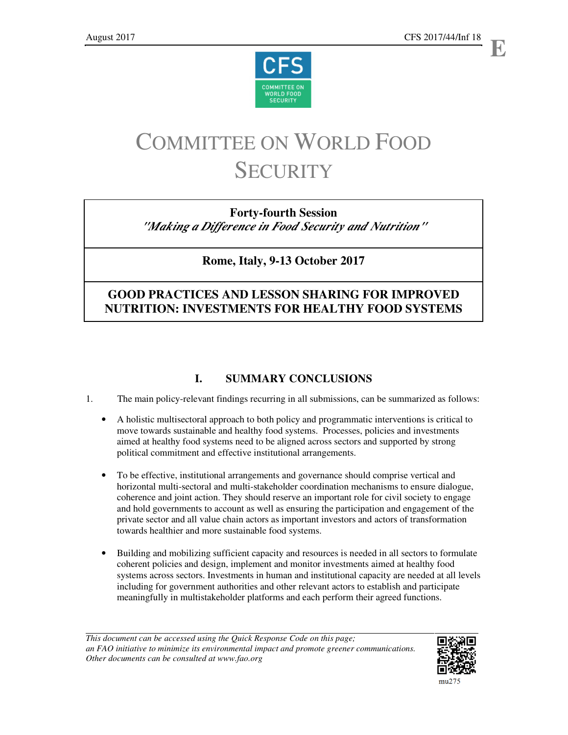



# COMMITTEE ON WORLD FOOD **SECURITY**

# **Forty-fourth Session**

*"Making a Difference in Food Security and Nutrition"*

**Rome, Italy, 9-13 October 2017** 

# **GOOD PRACTICES AND LESSON SHARING FOR IMPROVED NUTRITION: INVESTMENTS FOR HEALTHY FOOD SYSTEMS**

# **I. SUMMARY CONCLUSIONS**

- 1. The main policy-relevant findings recurring in all submissions, can be summarized as follows:
	- A holistic multisectoral approach to both policy and programmatic interventions is critical to move towards sustainable and healthy food systems. Processes, policies and investments aimed at healthy food systems need to be aligned across sectors and supported by strong political commitment and effective institutional arrangements.
	- To be effective, institutional arrangements and governance should comprise vertical and horizontal multi-sectoral and multi-stakeholder coordination mechanisms to ensure dialogue, coherence and joint action. They should reserve an important role for civil society to engage and hold governments to account as well as ensuring the participation and engagement of the private sector and all value chain actors as important investors and actors of transformation towards healthier and more sustainable food systems.
	- Building and mobilizing sufficient capacity and resources is needed in all sectors to formulate coherent policies and design, implement and monitor investments aimed at healthy food systems across sectors. Investments in human and institutional capacity are needed at all levels including for government authorities and other relevant actors to establish and participate meaningfully in multistakeholder platforms and each perform their agreed functions.

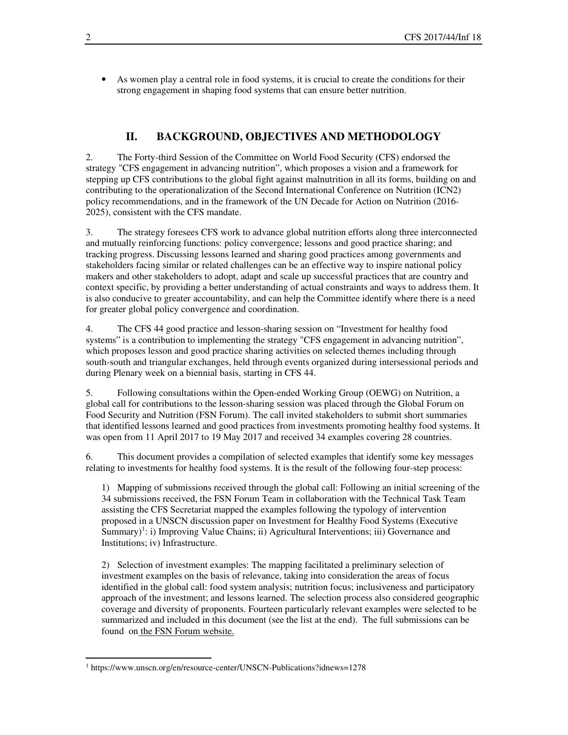• As women play a central role in food systems, it is crucial to create the conditions for their strong engagement in shaping food systems that can ensure better nutrition.

# **II. BACKGROUND, OBJECTIVES AND METHODOLOGY**

2. The Forty-third Session of the Committee on World Food Security (CFS) endorsed the strategy "CFS engagement in advancing nutrition", which proposes a vision and a framework for stepping up CFS contributions to the global fight against malnutrition in all its forms, building on and contributing to the operationalization of the Second International Conference on Nutrition (ICN2) policy recommendations, and in the framework of the UN Decade for Action on Nutrition (2016- 2025), consistent with the CFS mandate.

3. The strategy foresees CFS work to advance global nutrition efforts along three interconnected and mutually reinforcing functions: policy convergence; lessons and good practice sharing; and tracking progress. Discussing lessons learned and sharing good practices among governments and stakeholders facing similar or related challenges can be an effective way to inspire national policy makers and other stakeholders to adopt, adapt and scale up successful practices that are country and context specific, by providing a better understanding of actual constraints and ways to address them. It is also conducive to greater accountability, and can help the Committee identify where there is a need for greater global policy convergence and coordination.

4. The CFS 44 good practice and lesson-sharing session on "Investment for healthy food systems" is a contribution to implementing the strategy "CFS engagement in advancing nutrition", which proposes lesson and good practice sharing activities on selected themes including through south-south and triangular exchanges, held through events organized during intersessional periods and during Plenary week on a biennial basis, starting in CFS 44.

5. Following consultations within the Open-ended Working Group (OEWG) on Nutrition, a global call for contributions to the lesson-sharing session was placed through the Global Forum on Food Security and Nutrition (FSN Forum). The call invited stakeholders to submit short summaries that identified lessons learned and good practices from investments promoting healthy food systems. It was open from 11 April 2017 to 19 May 2017 and received 34 examples covering 28 countries.

6. This document provides a compilation of selected examples that identify some key messages relating to investments for healthy food systems. It is the result of the following four-step process:

1) Mapping of submissions received through the global call: Following an initial screening of the 34 submissions received, the FSN Forum Team in collaboration with the Technical Task Team assisting the CFS Secretariat mapped the examples following the typology of intervention proposed in a UNSCN discussion paper on Investment for Healthy Food Systems (Executive Summary)<sup>1</sup>: i) Improving Value Chains; ii) Agricultural Interventions; iii) Governance and Institutions; iv) Infrastructure.

2) Selection of investment examples: The mapping facilitated a preliminary selection of investment examples on the basis of relevance, taking into consideration the areas of focus identified in the global call: food system analysis; nutrition focus; inclusiveness and participatory approach of the investment; and lessons learned. The selection process also considered geographic coverage and diversity of proponents. Fourteen particularly relevant examples were selected to be summarized and included in this document (see the list at the end). The full submissions can be found on the FSN Forum website.

 $\overline{a}$ 

<sup>&</sup>lt;sup>1</sup> https://www.unscn.org/en/resource-center/UNSCN-Publications?idnews=1278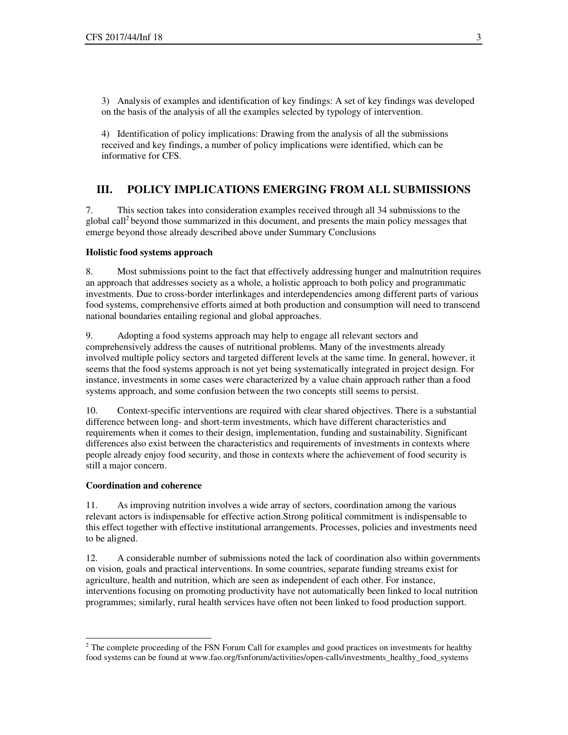3) Analysis of examples and identification of key findings: A set of key findings was developed on the basis of the analysis of all the examples selected by typology of intervention.

4) Identification of policy implications: Drawing from the analysis of all the submissions received and key findings, a number of policy implications were identified, which can be informative for CFS.

# **III. POLICY IMPLICATIONS EMERGING FROM ALL SUBMISSIONS**

7. This section takes into consideration examples received through all 34 submissions to the global call<sup>2</sup> beyond those summarized in this document, and presents the main policy messages that emerge beyond those already described above under Summary Conclusions

#### **Holistic food systems approach**

8. Most submissions point to the fact that effectively addressing hunger and malnutrition requires an approach that addresses society as a whole, a holistic approach to both policy and programmatic investments. Due to cross-border interlinkages and interdependencies among different parts of various food systems, comprehensive efforts aimed at both production and consumption will need to transcend national boundaries entailing regional and global approaches.

9. Adopting a food systems approach may help to engage all relevant sectors and comprehensively address the causes of nutritional problems. Many of the investments already involved multiple policy sectors and targeted different levels at the same time. In general, however, it seems that the food systems approach is not yet being systematically integrated in project design. For instance, investments in some cases were characterized by a value chain approach rather than a food systems approach, and some confusion between the two concepts still seems to persist.

10. Context-specific interventions are required with clear shared objectives. There is a substantial difference between long- and short-term investments, which have different characteristics and requirements when it comes to their design, implementation, funding and sustainability. Significant differences also exist between the characteristics and requirements of investments in contexts where people already enjoy food security, and those in contexts where the achievement of food security is still a major concern.

#### **Coordination and coherence**

11. As improving nutrition involves a wide array of sectors, coordination among the various relevant actors is indispensable for effective action.Strong political commitment is indispensable to this effect together with effective institutional arrangements. Processes, policies and investments need to be aligned.

12. A considerable number of submissions noted the lack of coordination also within governments on vision, goals and practical interventions. In some countries, separate funding streams exist for agriculture, health and nutrition, which are seen as independent of each other. For instance, interventions focusing on promoting productivity have not automatically been linked to local nutrition programmes; similarly, rural health services have often not been linked to food production support.

 $\overline{a}$ <sup>2</sup> The complete proceeding of the FSN Forum Call for examples and good practices on investments for healthy food systems can be found at www.fao.org/fsnforum/activities/open-calls/investments\_healthy\_food\_systems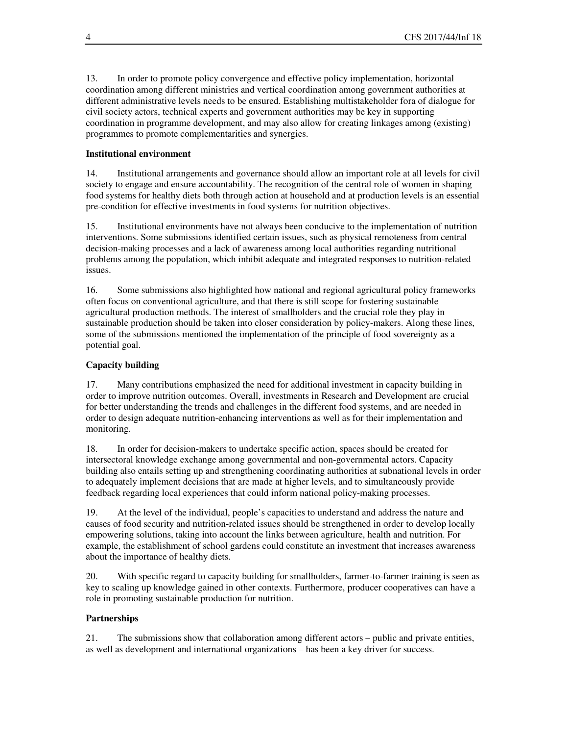13. In order to promote policy convergence and effective policy implementation, horizontal coordination among different ministries and vertical coordination among government authorities at different administrative levels needs to be ensured. Establishing multistakeholder fora of dialogue for civil society actors, technical experts and government authorities may be key in supporting coordination in programme development, and may also allow for creating linkages among (existing) programmes to promote complementarities and synergies.

# **Institutional environment**

14. Institutional arrangements and governance should allow an important role at all levels for civil society to engage and ensure accountability. The recognition of the central role of women in shaping food systems for healthy diets both through action at household and at production levels is an essential pre-condition for effective investments in food systems for nutrition objectives.

15. Institutional environments have not always been conducive to the implementation of nutrition interventions. Some submissions identified certain issues, such as physical remoteness from central decision-making processes and a lack of awareness among local authorities regarding nutritional problems among the population, which inhibit adequate and integrated responses to nutrition-related issues.

16. Some submissions also highlighted how national and regional agricultural policy frameworks often focus on conventional agriculture, and that there is still scope for fostering sustainable agricultural production methods. The interest of smallholders and the crucial role they play in sustainable production should be taken into closer consideration by policy-makers. Along these lines, some of the submissions mentioned the implementation of the principle of food sovereignty as a potential goal.

# **Capacity building**

17. Many contributions emphasized the need for additional investment in capacity building in order to improve nutrition outcomes. Overall, investments in Research and Development are crucial for better understanding the trends and challenges in the different food systems, and are needed in order to design adequate nutrition-enhancing interventions as well as for their implementation and monitoring.

18. In order for decision-makers to undertake specific action, spaces should be created for intersectoral knowledge exchange among governmental and non-governmental actors. Capacity building also entails setting up and strengthening coordinating authorities at subnational levels in order to adequately implement decisions that are made at higher levels, and to simultaneously provide feedback regarding local experiences that could inform national policy-making processes.

19. At the level of the individual, people's capacities to understand and address the nature and causes of food security and nutrition-related issues should be strengthened in order to develop locally empowering solutions, taking into account the links between agriculture, health and nutrition. For example, the establishment of school gardens could constitute an investment that increases awareness about the importance of healthy diets.

20. With specific regard to capacity building for smallholders, farmer-to-farmer training is seen as key to scaling up knowledge gained in other contexts. Furthermore, producer cooperatives can have a role in promoting sustainable production for nutrition.

#### **Partnerships**

21. The submissions show that collaboration among different actors – public and private entities, as well as development and international organizations – has been a key driver for success.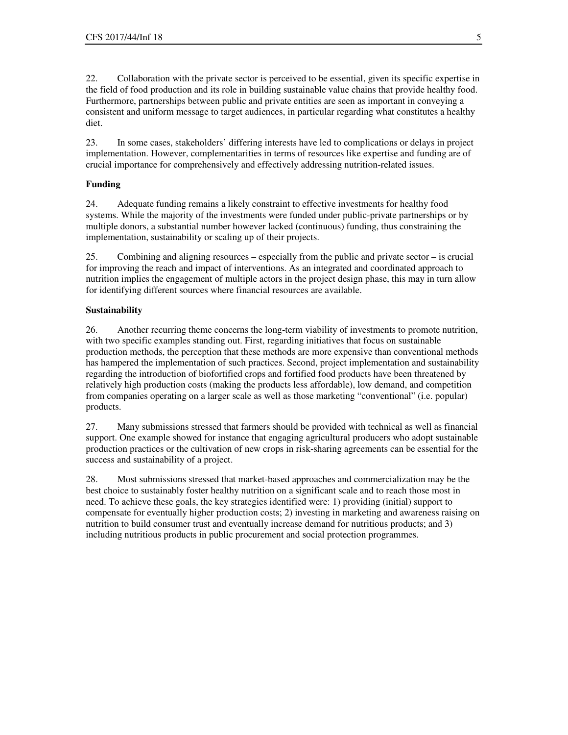22. Collaboration with the private sector is perceived to be essential, given its specific expertise in the field of food production and its role in building sustainable value chains that provide healthy food. Furthermore, partnerships between public and private entities are seen as important in conveying a consistent and uniform message to target audiences, in particular regarding what constitutes a healthy diet.

23. In some cases, stakeholders' differing interests have led to complications or delays in project implementation. However, complementarities in terms of resources like expertise and funding are of crucial importance for comprehensively and effectively addressing nutrition-related issues.

# **Funding**

24. Adequate funding remains a likely constraint to effective investments for healthy food systems. While the majority of the investments were funded under public-private partnerships or by multiple donors, a substantial number however lacked (continuous) funding, thus constraining the implementation, sustainability or scaling up of their projects.

25. Combining and aligning resources – especially from the public and private sector – is crucial for improving the reach and impact of interventions. As an integrated and coordinated approach to nutrition implies the engagement of multiple actors in the project design phase, this may in turn allow for identifying different sources where financial resources are available.

# **Sustainability**

26. Another recurring theme concerns the long-term viability of investments to promote nutrition, with two specific examples standing out. First, regarding initiatives that focus on sustainable production methods, the perception that these methods are more expensive than conventional methods has hampered the implementation of such practices. Second, project implementation and sustainability regarding the introduction of biofortified crops and fortified food products have been threatened by relatively high production costs (making the products less affordable), low demand, and competition from companies operating on a larger scale as well as those marketing "conventional" (i.e. popular) products.

27. Many submissions stressed that farmers should be provided with technical as well as financial support. One example showed for instance that engaging agricultural producers who adopt sustainable production practices or the cultivation of new crops in risk-sharing agreements can be essential for the success and sustainability of a project.

28. Most submissions stressed that market-based approaches and commercialization may be the best choice to sustainably foster healthy nutrition on a significant scale and to reach those most in need. To achieve these goals, the key strategies identified were: 1) providing (initial) support to compensate for eventually higher production costs; 2) investing in marketing and awareness raising on nutrition to build consumer trust and eventually increase demand for nutritious products; and 3) including nutritious products in public procurement and social protection programmes.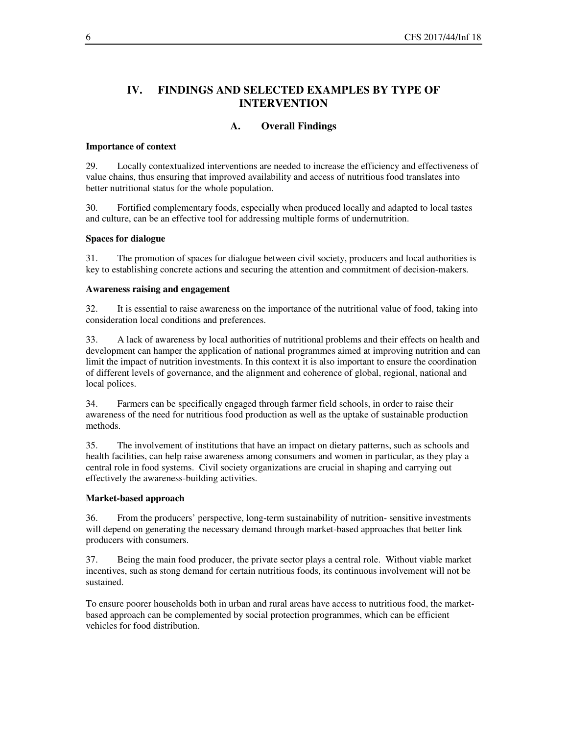# **IV. FINDINGS AND SELECTED EXAMPLES BY TYPE OF INTERVENTION**

# **A. Overall Findings**

#### **Importance of context**

29. Locally contextualized interventions are needed to increase the efficiency and effectiveness of value chains, thus ensuring that improved availability and access of nutritious food translates into better nutritional status for the whole population.

30. Fortified complementary foods, especially when produced locally and adapted to local tastes and culture, can be an effective tool for addressing multiple forms of undernutrition.

#### **Spaces for dialogue**

31. The promotion of spaces for dialogue between civil society, producers and local authorities is key to establishing concrete actions and securing the attention and commitment of decision-makers.

#### **Awareness raising and engagement**

32. It is essential to raise awareness on the importance of the nutritional value of food, taking into consideration local conditions and preferences.

33. A lack of awareness by local authorities of nutritional problems and their effects on health and development can hamper the application of national programmes aimed at improving nutrition and can limit the impact of nutrition investments. In this context it is also important to ensure the coordination of different levels of governance, and the alignment and coherence of global, regional, national and local polices.

34. Farmers can be specifically engaged through farmer field schools, in order to raise their awareness of the need for nutritious food production as well as the uptake of sustainable production methods.

35. The involvement of institutions that have an impact on dietary patterns, such as schools and health facilities, can help raise awareness among consumers and women in particular, as they play a central role in food systems. Civil society organizations are crucial in shaping and carrying out effectively the awareness-building activities.

#### **Market-based approach**

36. From the producers' perspective, long-term sustainability of nutrition- sensitive investments will depend on generating the necessary demand through market-based approaches that better link producers with consumers.

37. Being the main food producer, the private sector plays a central role. Without viable market incentives, such as stong demand for certain nutritious foods, its continuous involvement will not be sustained.

To ensure poorer households both in urban and rural areas have access to nutritious food, the marketbased approach can be complemented by social protection programmes, which can be efficient vehicles for food distribution.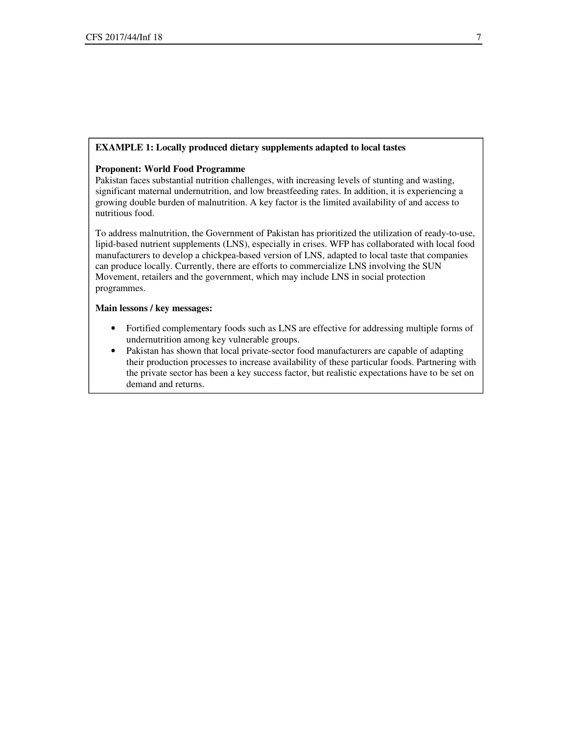#### **EXAMPLE 1: Locally produced dietary supplements adapted to local tastes**

#### **Proponent: World Food Programme**

Pakistan faces substantial nutrition challenges, with increasing levels of stunting and wasting, significant maternal undernutrition, and low breastfeeding rates. In addition, it is experiencing a growing double burden of malnutrition. A key factor is the limited availability of and access to nutritious food.

To address malnutrition, the Government of Pakistan has prioritized the utilization of ready-to-use, lipid-based nutrient supplements (LNS), especially in crises. WFP has collaborated with local food manufacturers to develop a chickpea-based version of LNS, adapted to local taste that companies can produce locally. Currently, there are efforts to commercialize LNS involving the SUN Movement, retailers and the government, which may include LNS in social protection programmes.

- Fortified complementary foods such as LNS are effective for addressing multiple forms of undernutrition among key vulnerable groups.
- Pakistan has shown that local private-sector food manufacturers are capable of adapting their production processes to increase availability of these particular foods. Partnering with the private sector has been a key success factor, but realistic expectations have to be set on demand and returns. •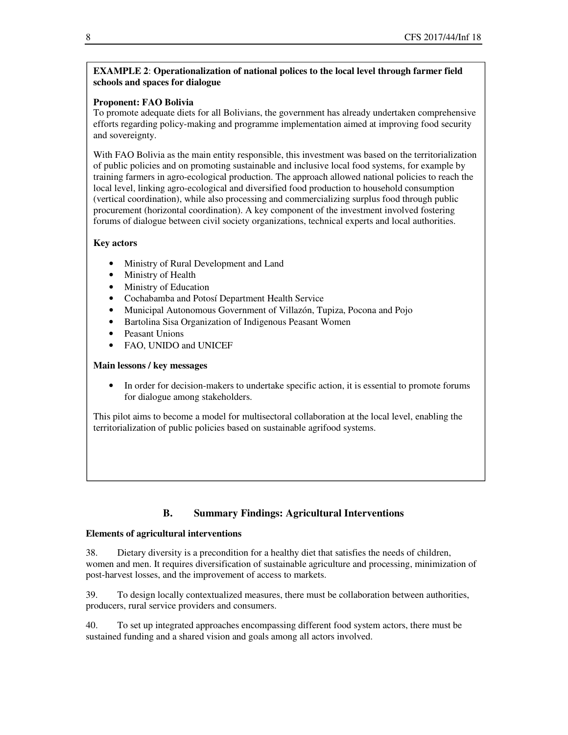# **EXAMPLE 2**: **Operationalization of national polices to the local level through farmer field schools and spaces for dialogue**

# **Proponent: FAO Bolivia**

To promote adequate diets for all Bolivians, the government has already undertaken comprehensive efforts regarding policy-making and programme implementation aimed at improving food security and sovereignty.

With FAO Bolivia as the main entity responsible, this investment was based on the territorialization of public policies and on promoting sustainable and inclusive local food systems, for example by training farmers in agro-ecological production. The approach allowed national policies to reach the local level, linking agro-ecological and diversified food production to household consumption (vertical coordination), while also processing and commercializing surplus food through public procurement (horizontal coordination). A key component of the investment involved fostering forums of dialogue between civil society organizations, technical experts and local authorities.

# **Key actors**

- Ministry of Rural Development and Land
- Ministry of Health
- Ministry of Education
- Cochabamba and Potosí Department Health Service
- Municipal Autonomous Government of Villazón, Tupiza, Pocona and Pojo
- Bartolina Sisa Organization of Indigenous Peasant Women
- Peasant Unions
- FAO, UNIDO and UNICEF

# **Main lessons / key messages**

• In order for decision-makers to undertake specific action, it is essential to promote forums for dialogue among stakeholders.

This pilot aims to become a model for multisectoral collaboration at the local level, enabling the territorialization of public policies based on sustainable agrifood systems.

# **B. Summary Findings: Agricultural Interventions**

# **Elements of agricultural interventions**

38. Dietary diversity is a precondition for a healthy diet that satisfies the needs of children, women and men. It requires diversification of sustainable agriculture and processing, minimization of post-harvest losses, and the improvement of access to markets.

39. To design locally contextualized measures, there must be collaboration between authorities, producers, rural service providers and consumers.

40. To set up integrated approaches encompassing different food system actors, there must be sustained funding and a shared vision and goals among all actors involved.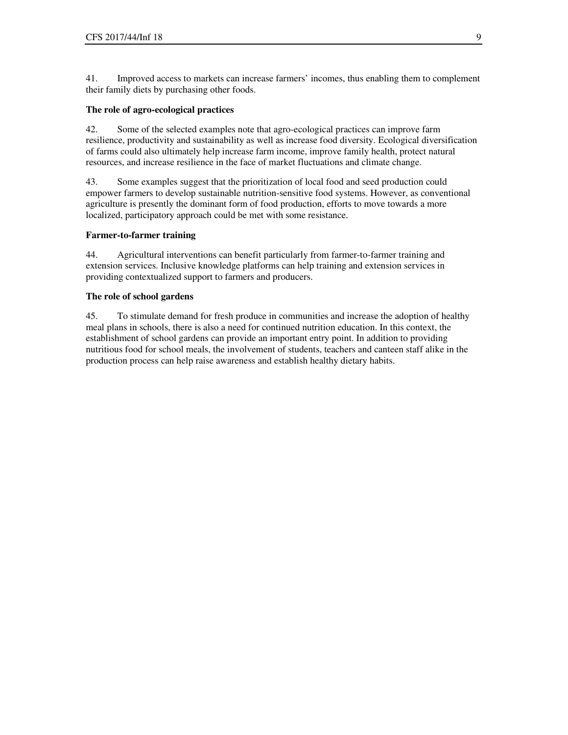41. Improved access to markets can increase farmers' incomes, thus enabling them to complement their family diets by purchasing other foods.

#### **The role of agro-ecological practices**

42. Some of the selected examples note that agro-ecological practices can improve farm resilience, productivity and sustainability as well as increase food diversity. Ecological diversification of farms could also ultimately help increase farm income, improve family health, protect natural resources, and increase resilience in the face of market fluctuations and climate change.

43. Some examples suggest that the prioritization of local food and seed production could empower farmers to develop sustainable nutrition-sensitive food systems. However, as conventional agriculture is presently the dominant form of food production, efforts to move towards a more localized, participatory approach could be met with some resistance.

#### **Farmer-to-farmer training**

44. Agricultural interventions can benefit particularly from farmer-to-farmer training and extension services. Inclusive knowledge platforms can help training and extension services in providing contextualized support to farmers and producers.

#### **The role of school gardens**

45. To stimulate demand for fresh produce in communities and increase the adoption of healthy meal plans in schools, there is also a need for continued nutrition education. In this context, the establishment of school gardens can provide an important entry point. In addition to providing nutritious food for school meals, the involvement of students, teachers and canteen staff alike in the production process can help raise awareness and establish healthy dietary habits.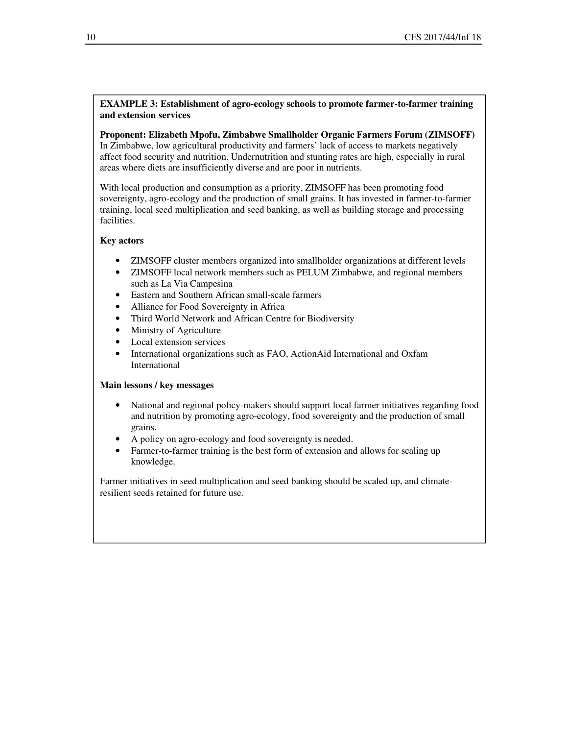# **EXAMPLE 3: Establishment of agro-ecology schools to promote farmer-to-farmer training and extension services**

# **Proponent: Elizabeth Mpofu, Zimbabwe Smallholder Organic Farmers Forum (ZIMSOFF)**

In Zimbabwe, low agricultural productivity and farmers' lack of access to markets negatively affect food security and nutrition. Undernutrition and stunting rates are high, especially in rural areas where diets are insufficiently diverse and are poor in nutrients.

With local production and consumption as a priority, ZIMSOFF has been promoting food sovereignty, agro-ecology and the production of small grains. It has invested in farmer-to-farmer training, local seed multiplication and seed banking, as well as building storage and processing facilities.

# **Key actors**

- ZIMSOFF cluster members organized into smallholder organizations at different levels
- ZIMSOFF local network members such as PELUM Zimbabwe, and regional members such as La Via Campesina
- Eastern and Southern African small-scale farmers
- Alliance for Food Sovereignty in Africa
- Third World Network and African Centre for Biodiversity
- Ministry of Agriculture
- Local extension services
- International organizations such as FAO, ActionAid International and Oxfam International

#### **Main lessons / key messages**

- National and regional policy-makers should support local farmer initiatives regarding food and nutrition by promoting agro-ecology, food sovereignty and the production of small grains.
- A policy on agro-ecology and food sovereignty is needed.
- Farmer-to-farmer training is the best form of extension and allows for scaling up knowledge.

Farmer initiatives in seed multiplication and seed banking should be scaled up, and climateresilient seeds retained for future use.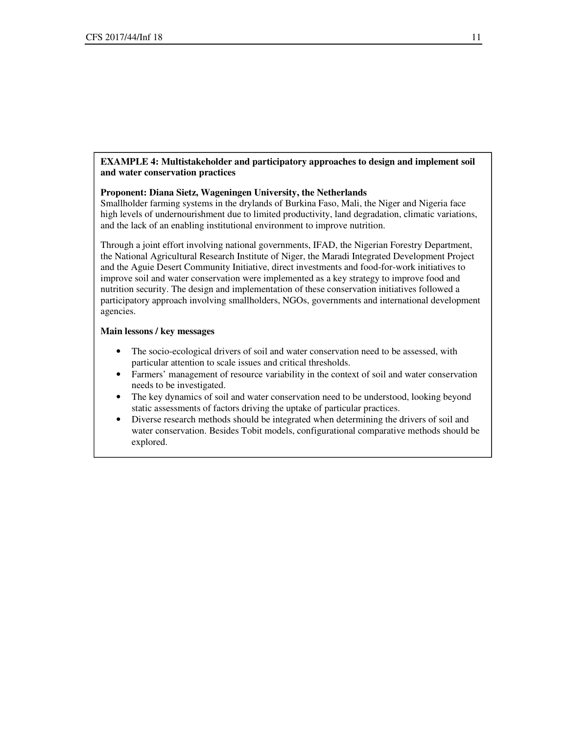#### **EXAMPLE 4: Multistakeholder and participatory approaches to design and implement soil and water conservation practices**

#### **Proponent: Diana Sietz, Wageningen University, the Netherlands**

Smallholder farming systems in the drylands of Burkina Faso, Mali, the Niger and Nigeria face high levels of undernourishment due to limited productivity, land degradation, climatic variations, and the lack of an enabling institutional environment to improve nutrition.

Through a joint effort involving national governments, IFAD, the Nigerian Forestry Department, the National Agricultural Research Institute of Niger, the Maradi Integrated Development Project and the Aguie Desert Community Initiative, direct investments and food-for-work initiatives to improve soil and water conservation were implemented as a key strategy to improve food and nutrition security. The design and implementation of these conservation initiatives followed a participatory approach involving smallholders, NGOs, governments and international development agencies.

- The socio-ecological drivers of soil and water conservation need to be assessed, with particular attention to scale issues and critical thresholds.
- Farmers' management of resource variability in the context of soil and water conservation needs to be investigated.
- The key dynamics of soil and water conservation need to be understood, looking beyond static assessments of factors driving the uptake of particular practices.
- Diverse research methods should be integrated when determining the drivers of soil and water conservation. Besides Tobit models, configurational comparative methods should be explored.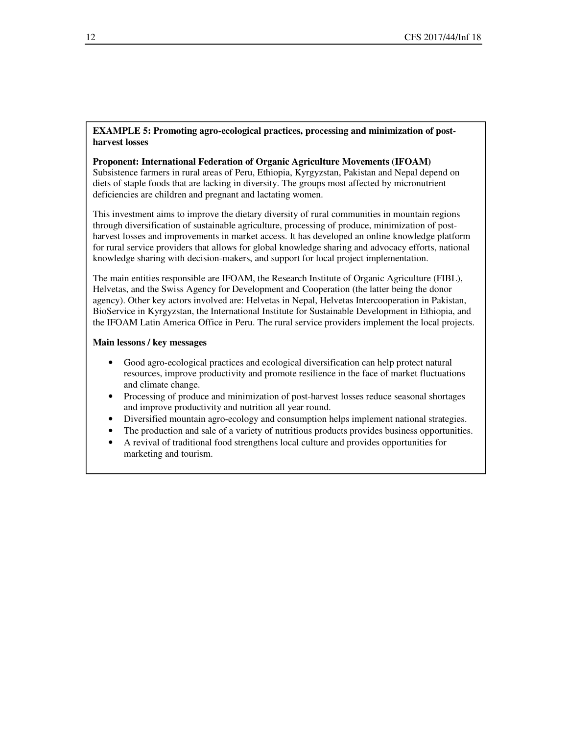#### **EXAMPLE 5: Promoting agro-ecological practices, processing and minimization of postharvest losses**

#### **Proponent: International Federation of Organic Agriculture Movements (IFOAM)**

Subsistence farmers in rural areas of Peru, Ethiopia, Kyrgyzstan, Pakistan and Nepal depend on diets of staple foods that are lacking in diversity. The groups most affected by micronutrient deficiencies are children and pregnant and lactating women.

This investment aims to improve the dietary diversity of rural communities in mountain regions through diversification of sustainable agriculture, processing of produce, minimization of postharvest losses and improvements in market access. It has developed an online knowledge platform for rural service providers that allows for global knowledge sharing and advocacy efforts, national knowledge sharing with decision-makers, and support for local project implementation.

The main entities responsible are IFOAM, the Research Institute of Organic Agriculture (FIBL), Helvetas, and the Swiss Agency for Development and Cooperation (the latter being the donor agency). Other key actors involved are: Helvetas in Nepal, Helvetas Intercooperation in Pakistan, BioService in Kyrgyzstan, the International Institute for Sustainable Development in Ethiopia, and the IFOAM Latin America Office in Peru. The rural service providers implement the local projects.

- Good agro-ecological practices and ecological diversification can help protect natural resources, improve productivity and promote resilience in the face of market fluctuations and climate change.
- Processing of produce and minimization of post-harvest losses reduce seasonal shortages and improve productivity and nutrition all year round.
- Diversified mountain agro-ecology and consumption helps implement national strategies.
- The production and sale of a variety of nutritious products provides business opportunities.
- A revival of traditional food strengthens local culture and provides opportunities for marketing and tourism.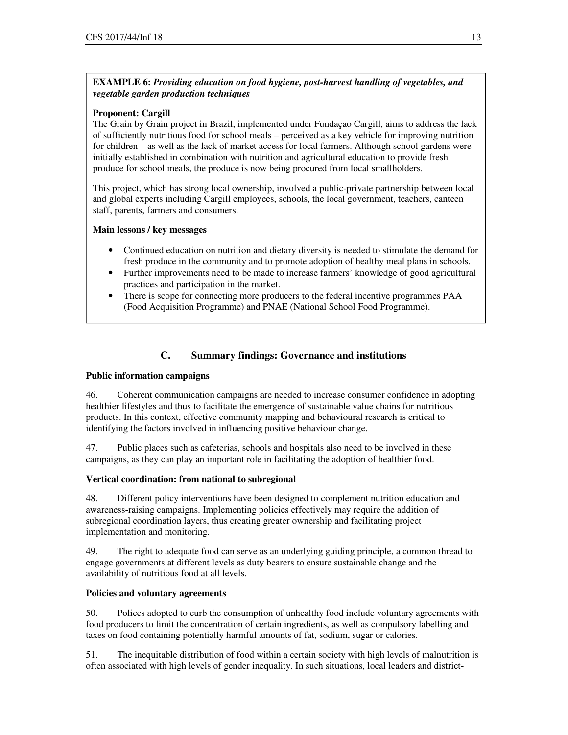# **EXAMPLE 6:** *Providing education on food hygiene, post-harvest handling of vegetables, and vegetable garden production techniques*

# **Proponent: Cargill**

The Grain by Grain project in Brazil, implemented under Fundaçao Cargill, aims to address the lack of sufficiently nutritious food for school meals – perceived as a key vehicle for improving nutrition for children – as well as the lack of market access for local farmers. Although school gardens were initially established in combination with nutrition and agricultural education to provide fresh produce for school meals, the produce is now being procured from local smallholders.

This project, which has strong local ownership, involved a public-private partnership between local and global experts including Cargill employees, schools, the local government, teachers, canteen staff, parents, farmers and consumers.

# **Main lessons / key messages**

- Continued education on nutrition and dietary diversity is needed to stimulate the demand for fresh produce in the community and to promote adoption of healthy meal plans in schools.
- Further improvements need to be made to increase farmers' knowledge of good agricultural practices and participation in the market.
- There is scope for connecting more producers to the federal incentive programmes PAA (Food Acquisition Programme) and PNAE (National School Food Programme).

# **C. Summary findings: Governance and institutions**

#### **Public information campaigns**

46. Coherent communication campaigns are needed to increase consumer confidence in adopting healthier lifestyles and thus to facilitate the emergence of sustainable value chains for nutritious products. In this context, effective community mapping and behavioural research is critical to identifying the factors involved in influencing positive behaviour change.

47. Public places such as cafeterias, schools and hospitals also need to be involved in these campaigns, as they can play an important role in facilitating the adoption of healthier food.

#### **Vertical coordination: from national to subregional**

48. Different policy interventions have been designed to complement nutrition education and awareness-raising campaigns. Implementing policies effectively may require the addition of subregional coordination layers, thus creating greater ownership and facilitating project implementation and monitoring.

49. The right to adequate food can serve as an underlying guiding principle, a common thread to engage governments at different levels as duty bearers to ensure sustainable change and the availability of nutritious food at all levels.

#### **Policies and voluntary agreements**

50. Polices adopted to curb the consumption of unhealthy food include voluntary agreements with food producers to limit the concentration of certain ingredients, as well as compulsory labelling and taxes on food containing potentially harmful amounts of fat, sodium, sugar or calories.

51. The inequitable distribution of food within a certain society with high levels of malnutrition is often associated with high levels of gender inequality. In such situations, local leaders and district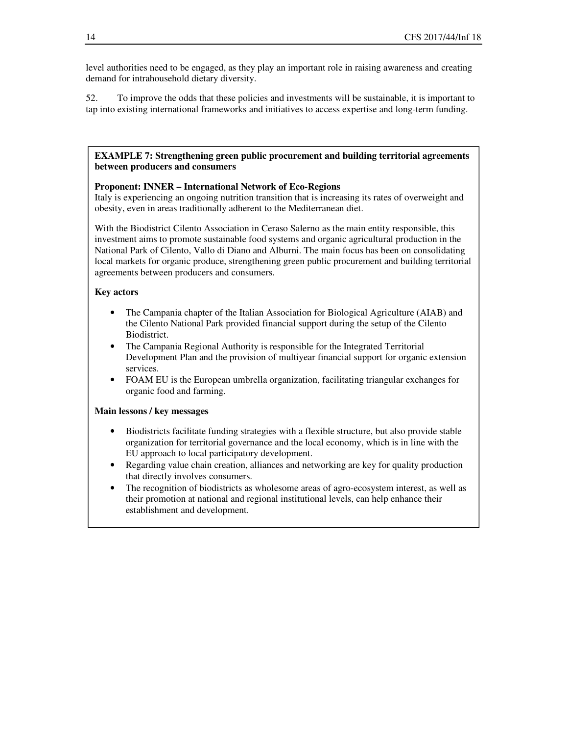level authorities need to be engaged, as they play an important role in raising awareness and creating demand for intrahousehold dietary diversity.

52. To improve the odds that these policies and investments will be sustainable, it is important to tap into existing international frameworks and initiatives to access expertise and long-term funding.

#### **EXAMPLE 7: Strengthening green public procurement and building territorial agreements between producers and consumers**

#### **Proponent: INNER – International Network of Eco-Regions**

Italy is experiencing an ongoing nutrition transition that is increasing its rates of overweight and obesity, even in areas traditionally adherent to the Mediterranean diet.

With the Biodistrict Cilento Association in Ceraso Salerno as the main entity responsible, this investment aims to promote sustainable food systems and organic agricultural production in the National Park of Cilento, Vallo di Diano and Alburni. The main focus has been on consolidating local markets for organic produce, strengthening green public procurement and building territorial agreements between producers and consumers.

#### **Key actors**

- The Campania chapter of the Italian Association for Biological Agriculture (AIAB) and the Cilento National Park provided financial support during the setup of the Cilento Biodistrict.
- The Campania Regional Authority is responsible for the Integrated Territorial Development Plan and the provision of multiyear financial support for organic extension services.
- FOAM EU is the European umbrella organization, facilitating triangular exchanges for organic food and farming.

- Biodistricts facilitate funding strategies with a flexible structure, but also provide stable organization for territorial governance and the local economy, which is in line with the EU approach to local participatory development.
- Regarding value chain creation, alliances and networking are key for quality production that directly involves consumers.
- The recognition of biodistricts as wholesome areas of agro-ecosystem interest, as well as their promotion at national and regional institutional levels, can help enhance their establishment and development.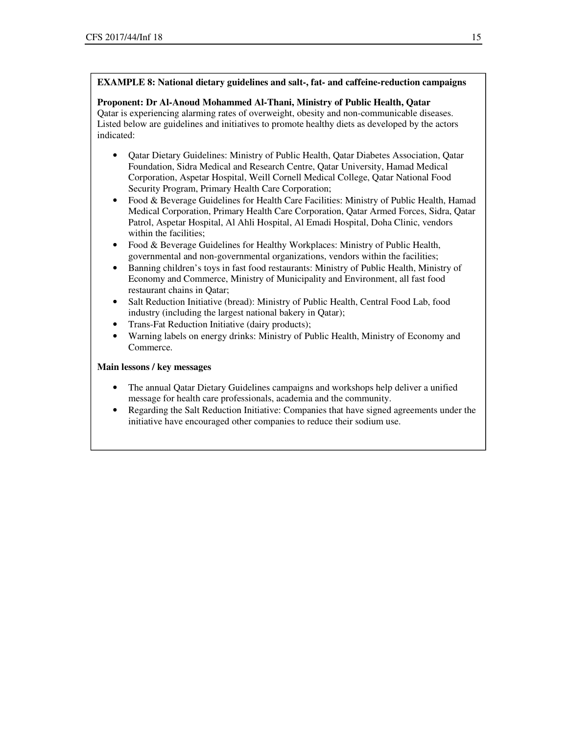# **EXAMPLE 8: National dietary guidelines and salt-, fat- and caffeine-reduction campaigns**

# **Proponent: Dr Al-Anoud Mohammed Al-Thani, Ministry of Public Health, Qatar**

Qatar is experiencing alarming rates of overweight, obesity and non-communicable diseases. Listed below are guidelines and initiatives to promote healthy diets as developed by the actors indicated:

- Qatar Dietary Guidelines: Ministry of Public Health, Qatar Diabetes Association, Qatar Foundation, Sidra Medical and Research Centre, Qatar University, Hamad Medical Corporation, Aspetar Hospital, Weill Cornell Medical College, Qatar National Food Security Program, Primary Health Care Corporation;
- Food & Beverage Guidelines for Health Care Facilities: Ministry of Public Health, Hamad Medical Corporation, Primary Health Care Corporation, Qatar Armed Forces, Sidra, Qatar Patrol, Aspetar Hospital, Al Ahli Hospital, Al Emadi Hospital, Doha Clinic, vendors within the facilities;
- Food & Beverage Guidelines for Healthy Workplaces: Ministry of Public Health, governmental and non-governmental organizations, vendors within the facilities;
- Banning children's toys in fast food restaurants: Ministry of Public Health, Ministry of Economy and Commerce, Ministry of Municipality and Environment, all fast food restaurant chains in Qatar;
- Salt Reduction Initiative (bread): Ministry of Public Health, Central Food Lab, food industry (including the largest national bakery in Qatar);
- Trans-Fat Reduction Initiative (dairy products);
- Warning labels on energy drinks: Ministry of Public Health, Ministry of Economy and Commerce.

- The annual Qatar Dietary Guidelines campaigns and workshops help deliver a unified message for health care professionals, academia and the community.
- Regarding the Salt Reduction Initiative: Companies that have signed agreements under the initiative have encouraged other companies to reduce their sodium use.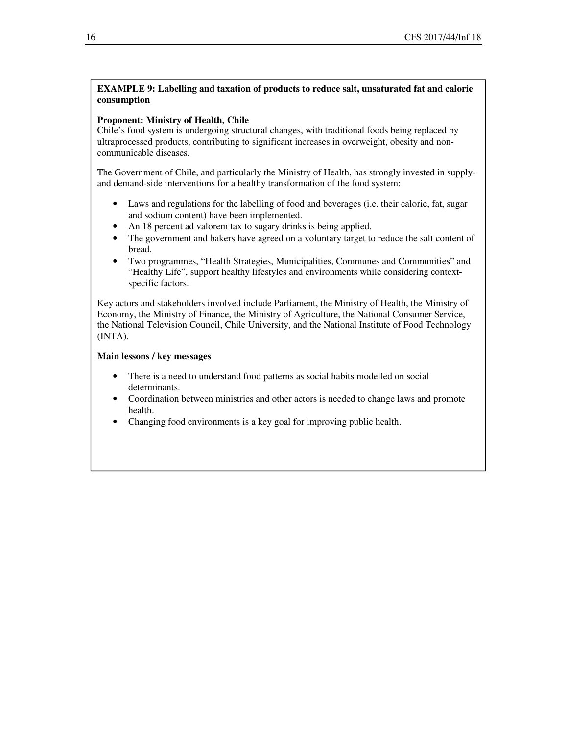# **EXAMPLE 9: Labelling and taxation of products to reduce salt, unsaturated fat and calorie consumption**

#### **Proponent: Ministry of Health, Chile**

Chile's food system is undergoing structural changes, with traditional foods being replaced by ultraprocessed products, contributing to significant increases in overweight, obesity and noncommunicable diseases.

The Government of Chile, and particularly the Ministry of Health, has strongly invested in supplyand demand-side interventions for a healthy transformation of the food system:

- Laws and regulations for the labelling of food and beverages (i.e. their calorie, fat, sugar and sodium content) have been implemented.
- An 18 percent ad valorem tax to sugary drinks is being applied.
- The government and bakers have agreed on a voluntary target to reduce the salt content of bread.
- Two programmes, "Health Strategies, Municipalities, Communes and Communities" and "Healthy Life", support healthy lifestyles and environments while considering contextspecific factors.

Key actors and stakeholders involved include Parliament, the Ministry of Health, the Ministry of Economy, the Ministry of Finance, the Ministry of Agriculture, the National Consumer Service, the National Television Council, Chile University, and the National Institute of Food Technology (INTA).

- There is a need to understand food patterns as social habits modelled on social determinants.
- Coordination between ministries and other actors is needed to change laws and promote health.
- Changing food environments is a key goal for improving public health.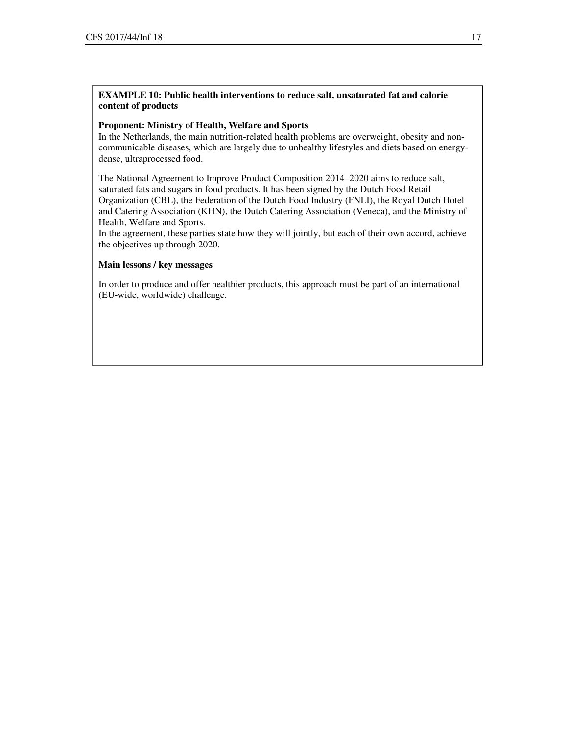# **EXAMPLE 10: Public health interventions to reduce salt, unsaturated fat and calorie content of products**

#### **Proponent: Ministry of Health, Welfare and Sports**

In the Netherlands, the main nutrition-related health problems are overweight, obesity and noncommunicable diseases, which are largely due to unhealthy lifestyles and diets based on energydense, ultraprocessed food.

The National Agreement to Improve Product Composition 2014–2020 aims to reduce salt, saturated fats and sugars in food products. It has been signed by the Dutch Food Retail Organization (CBL), the Federation of the Dutch Food Industry (FNLI), the Royal Dutch Hotel and Catering Association (KHN), the Dutch Catering Association (Veneca), and the Ministry of Health, Welfare and Sports.

In the agreement, these parties state how they will jointly, but each of their own accord, achieve the objectives up through 2020.

#### **Main lessons / key messages**

In order to produce and offer healthier products, this approach must be part of an international (EU-wide, worldwide) challenge.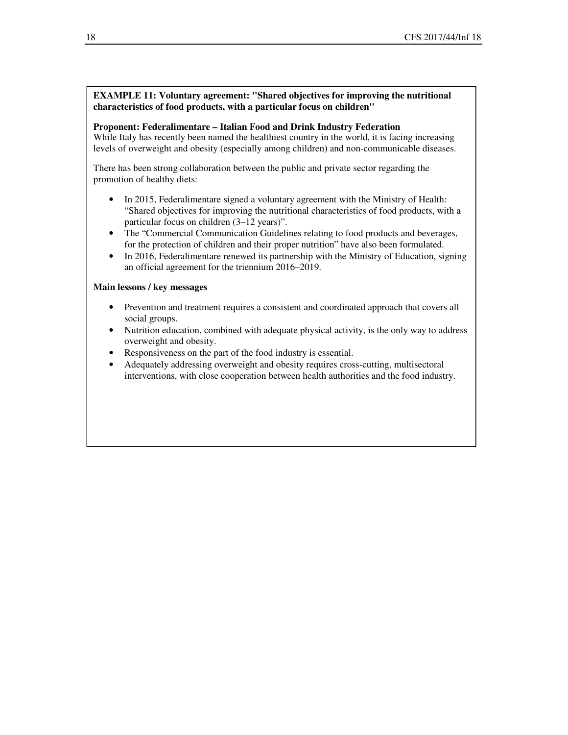# **EXAMPLE 11: Voluntary agreement: "Shared objectives for improving the nutritional characteristics of food products, with a particular focus on children"**

#### **Proponent: Federalimentare – Italian Food and Drink Industry Federation**

While Italy has recently been named the healthiest country in the world, it is facing increasing levels of overweight and obesity (especially among children) and non-communicable diseases.

There has been strong collaboration between the public and private sector regarding the promotion of healthy diets:

- In 2015, Federalimentare signed a voluntary agreement with the Ministry of Health: "Shared objectives for improving the nutritional characteristics of food products, with a particular focus on children (3–12 years)".
- The "Commercial Communication Guidelines relating to food products and beverages, for the protection of children and their proper nutrition" have also been formulated.
- In 2016, Federalimentare renewed its partnership with the Ministry of Education, signing an official agreement for the triennium 2016–2019.

- Prevention and treatment requires a consistent and coordinated approach that covers all social groups.
- Nutrition education, combined with adequate physical activity, is the only way to address overweight and obesity.
- Responsiveness on the part of the food industry is essential.
- Adequately addressing overweight and obesity requires cross-cutting, multisectoral interventions, with close cooperation between health authorities and the food industry.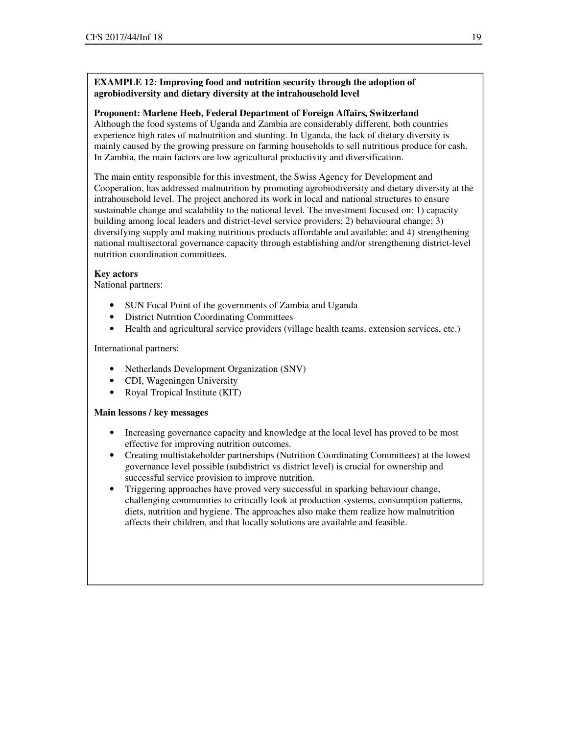# **EXAMPLE 12: Improving food and nutrition security through the adoption of agrobiodiversity and dietary diversity at the intrahousehold level**

# **Proponent: Marlene Heeb, Federal Department of Foreign Affairs, Switzerland**

Although the food systems of Uganda and Zambia are considerably different, both countries experience high rates of malnutrition and stunting. In Uganda, the lack of dietary diversity is mainly caused by the growing pressure on farming households to sell nutritious produce for cash. In Zambia, the main factors are low agricultural productivity and diversification.

The main entity responsible for this investment, the Swiss Agency for Development and Cooperation, has addressed malnutrition by promoting agrobiodiversity and dietary diversity at the intrahousehold level. The project anchored its work in local and national structures to ensure sustainable change and scalability to the national level. The investment focused on: 1) capacity building among local leaders and district-level service providers; 2) behavioural change; 3) diversifying supply and making nutritious products affordable and available; and 4) strengthening national multisectoral governance capacity through establishing and/or strengthening district-level nutrition coordination committees.

# **Key actors**

National partners:

- SUN Focal Point of the governments of Zambia and Uganda
- District Nutrition Coordinating Committees
- Health and agricultural service providers (village health teams, extension services, etc.)

International partners:

- Netherlands Development Organization (SNV)
- CDI, Wageningen University
- Royal Tropical Institute (KIT)

- Increasing governance capacity and knowledge at the local level has proved to be most effective for improving nutrition outcomes.
- Creating multistakeholder partnerships (Nutrition Coordinating Committees) at the lowest governance level possible (subdistrict vs district level) is crucial for ownership and successful service provision to improve nutrition.
- Triggering approaches have proved very successful in sparking behaviour change, challenging communities to critically look at production systems, consumption patterns, diets, nutrition and hygiene. The approaches also make them realize how malnutrition affects their children, and that locally solutions are available and feasible.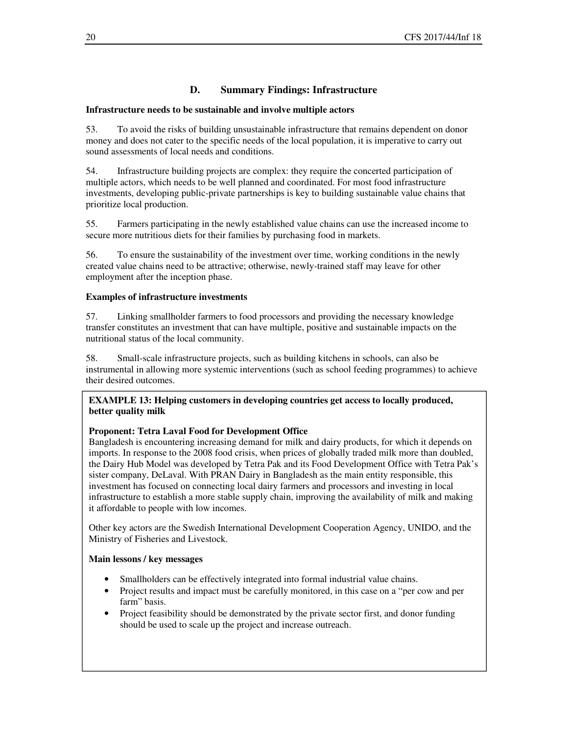# **D. Summary Findings: Infrastructure**

# **Infrastructure needs to be sustainable and involve multiple actors**

53. To avoid the risks of building unsustainable infrastructure that remains dependent on donor money and does not cater to the specific needs of the local population, it is imperative to carry out sound assessments of local needs and conditions.

54. Infrastructure building projects are complex: they require the concerted participation of multiple actors, which needs to be well planned and coordinated. For most food infrastructure investments, developing public-private partnerships is key to building sustainable value chains that prioritize local production.

55. Farmers participating in the newly established value chains can use the increased income to secure more nutritious diets for their families by purchasing food in markets.

56. To ensure the sustainability of the investment over time, working conditions in the newly created value chains need to be attractive; otherwise, newly-trained staff may leave for other employment after the inception phase.

# **Examples of infrastructure investments**

57. Linking smallholder farmers to food processors and providing the necessary knowledge transfer constitutes an investment that can have multiple, positive and sustainable impacts on the nutritional status of the local community.

58. Small-scale infrastructure projects, such as building kitchens in schools, can also be instrumental in allowing more systemic interventions (such as school feeding programmes) to achieve their desired outcomes.

# **EXAMPLE 13: Helping customers in developing countries get access to locally produced, better quality milk**

# **Proponent: Tetra Laval Food for Development Office**

Bangladesh is encountering increasing demand for milk and dairy products, for which it depends on imports. In response to the 2008 food crisis, when prices of globally traded milk more than doubled, the Dairy Hub Model was developed by Tetra Pak and its Food Development Office with Tetra Pak's sister company, DeLaval. With PRAN Dairy in Bangladesh as the main entity responsible, this investment has focused on connecting local dairy farmers and processors and investing in local infrastructure to establish a more stable supply chain, improving the availability of milk and making it affordable to people with low incomes.

Other key actors are the Swedish International Development Cooperation Agency, UNIDO, and the Ministry of Fisheries and Livestock.

- Smallholders can be effectively integrated into formal industrial value chains.
- Project results and impact must be carefully monitored, in this case on a "per cow and per farm" basis.
- Project feasibility should be demonstrated by the private sector first, and donor funding should be used to scale up the project and increase outreach.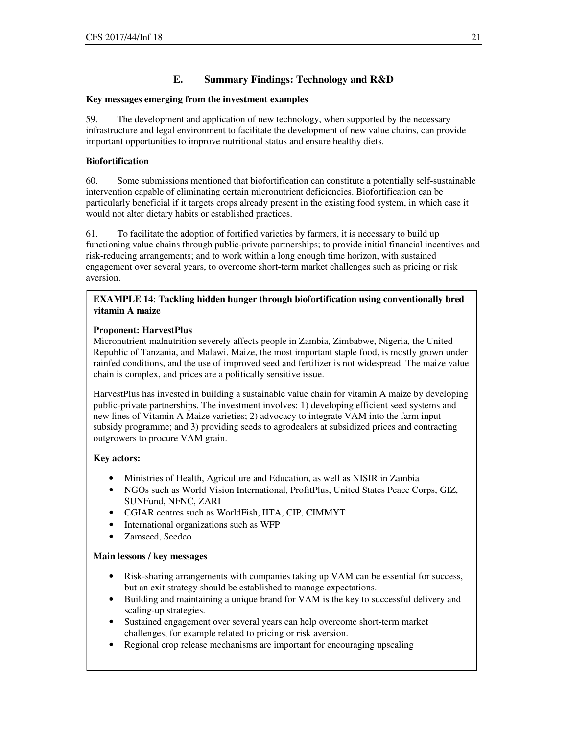# **E. Summary Findings: Technology and R&D**

# **Key messages emerging from the investment examples**

59. The development and application of new technology, when supported by the necessary infrastructure and legal environment to facilitate the development of new value chains, can provide important opportunities to improve nutritional status and ensure healthy diets.

# **Biofortification**

60. Some submissions mentioned that biofortification can constitute a potentially self-sustainable intervention capable of eliminating certain micronutrient deficiencies. Biofortification can be particularly beneficial if it targets crops already present in the existing food system, in which case it would not alter dietary habits or established practices.

61. To facilitate the adoption of fortified varieties by farmers, it is necessary to build up functioning value chains through public-private partnerships; to provide initial financial incentives and risk-reducing arrangements; and to work within a long enough time horizon, with sustained engagement over several years, to overcome short-term market challenges such as pricing or risk aversion.

# **EXAMPLE 14**: **Tackling hidden hunger through biofortification using conventionally bred vitamin A maize**

# **Proponent: HarvestPlus**

Micronutrient malnutrition severely affects people in Zambia, Zimbabwe, Nigeria, the United Republic of Tanzania, and Malawi. Maize, the most important staple food, is mostly grown under rainfed conditions, and the use of improved seed and fertilizer is not widespread. The maize value chain is complex, and prices are a politically sensitive issue.

HarvestPlus has invested in building a sustainable value chain for vitamin A maize by developing public-private partnerships. The investment involves: 1) developing efficient seed systems and new lines of Vitamin A Maize varieties; 2) advocacy to integrate VAM into the farm input subsidy programme; and 3) providing seeds to agrodealers at subsidized prices and contracting outgrowers to procure VAM grain.

# **Key actors:**

- Ministries of Health, Agriculture and Education, as well as NISIR in Zambia
- NGOs such as World Vision International, ProfitPlus, United States Peace Corps, GIZ, SUNFund, NFNC, ZARI
- CGIAR centres such as WorldFish, IITA, CIP, CIMMYT
- International organizations such as WFP
- Zamseed, Seedco

- Risk-sharing arrangements with companies taking up VAM can be essential for success, but an exit strategy should be established to manage expectations.
- Building and maintaining a unique brand for VAM is the key to successful delivery and scaling-up strategies.
- Sustained engagement over several years can help overcome short-term market challenges, for example related to pricing or risk aversion.
- Regional crop release mechanisms are important for encouraging upscaling